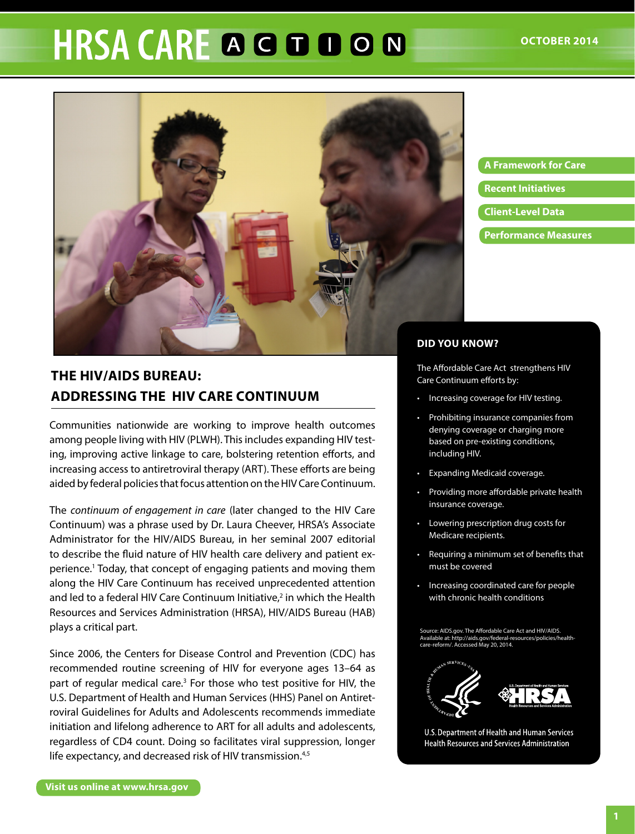# **HRSA CARE A G D D O N**



**A Framework for care Recent Initiatives Client-Level Data Performance measures**

## **DID You KnoW?**

The Affordable Care Act strengthens HIV Care Continuum efforts by:

- Increasing coverage for HIV testing.
- Prohibiting insurance companies from denying coverage or charging more based on pre-existing conditions, including HIV.
- Expanding Medicaid coverage.
- Providing more affordable private health insurance coverage.
- Lowering prescription drug costs for Medicare recipients.
- Requiring a minimum set of benefits that must be covered
- Increasing coordinated care for people with chronic health conditions

Source: AIDS.gov. The Affordable Care Act and HIV/AIDS. [Available at: http://aids.gov/federal-resources/policies/health](http://aids.gov/federal-resources/policies/health-care-reform/)care-reform/. Accessed May 20, 2014.



U.S. Department of Health and Human Services **Health Resources and Services Administration** 

# **THE HIV/AIDS BUREAU: ADDRESSING THE HIV CARE CONTINUUM**

Communities nationwide are working to improve health outcomes among people living with HIV (PLWH). This includes expanding HIV testing, improving active linkage to care, bolstering retention efforts, and increasing access to antiretroviral therapy (ART). These efforts are being aided by federal policies that focus attention on the HIV Care Continuum.

The *continuum of engagement in care* (later changed to the HIV Care Continuum) was a phrase used by Dr. Laura Cheever, HRSA's Associate Administrator for the HIV/AIDS Bureau, in her seminal 2007 editorial to describe the fluid nature of HIV health care delivery and patient experience.1 Today, that concept of engaging patients and moving them along the HIV Care Continuum has received unprecedented attention and led to a federal HIV Care Continuum Initiative, $2$  in which the Health Resources and Services Administration (HRSA), HIV/AIDS Bureau (HAB) plays a critical part.

Since 2006, the Centers for Disease Control and Prevention (CDC) has recommended routine screening of HIV for everyone ages 13–64 as part of regular medical care.<sup>3</sup> For those who test positive for HIV, the U.S. Department of Health and Human Services (HHS) Panel on Antiretroviral Guidelines for Adults and Adolescents recommends immediate initiation and lifelong adherence to ART for all adults and adolescents, regardless of CD4 count. Doing so facilitates viral suppression, longer life expectancy, and decreased risk of HIV transmission.<sup>4,5</sup>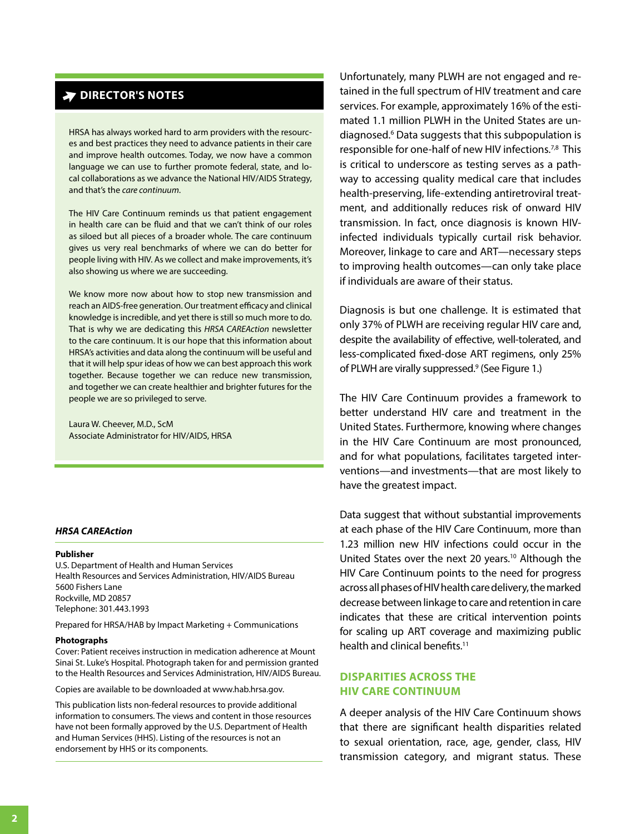# **DIRECTOR'S NOTES**

HRSA has always worked hard to arm providers with the resources and best practices they need to advance patients in their care and improve health outcomes. Today, we now have a common language we can use to further promote federal, state, and local collaborations as we advance the National HIV/AIDS Strategy, and that's the *care continuum*.

The HIV Care Continuum reminds us that patient engagement in health care can be fluid and that we can't think of our roles as siloed but all pieces of a broader whole. The care continuum gives us very real benchmarks of where we can do better for people living with HIV. As we collect and make improvements, it's also showing us where we are succeeding.

We know more now about how to stop new transmission and reach an AIDS-free generation. Our treatment efficacy and clinical knowledge is incredible, and yet there is still so much more to do. That is why we are dedicating this *HRSA CAREAction* newsletter to the care continuum. It is our hope that this information about HRSA's activities and data along the continuum will be useful and that it will help spur ideas of how we can best approach this work together. Because together we can reduce new transmission, and together we can create healthier and brighter futures for the people we are so privileged to serve.

Laura W. Cheever, M.D., ScM Associate Administrator for HIV/AIDS, HRSA

#### *HRSA CAREAction*

#### **Publisher**

U.S. Department of Health and Human Services Health Resources and Services Administration, HIV/AIDS Bureau 5600 Fishers Lane Rockville, MD 20857 Telephone: 301.443.1993

Prepared for HRSA/HAB by Impact Marketing + Communications

#### **Photographs**

Cover: Patient receives instruction in medication adherence at Mount Sinai St. Luke's Hospital. Photograph taken for and permission granted to the Health Resources and Services Administration, HIV/AIDS Bureau.

Copies are available to be downloaded at<www.hab.hrsa.gov>.

This publication lists non-federal resources to provide additional information to consumers. The views and content in those resources have not been formally approved by the U.S. Department of Health and Human Services (HHS). Listing of the resources is not an endorsement by HHS or its components.

Unfortunately, many PLWH are not engaged and retained in the full spectrum of HIV treatment and care services. For example, approximately 16% of the estimated 1.1 million PLWH in the United States are undiagnosed.6 Data suggests that this subpopulation is responsible for one-half of new HIV infections.7,8 This is critical to underscore as testing serves as a pathway to accessing quality medical care that includes health-preserving, life-extending antiretroviral treatment, and additionally reduces risk of onward HIV transmission. In fact, once diagnosis is known HIVinfected individuals typically curtail risk behavior. Moreover, linkage to care and ART—necessary steps to improving health outcomes—can only take place if individuals are aware of their status.

Diagnosis is but one challenge. It is estimated that only 37% of PLWH are receiving regular HIV care and, despite the availability of effective, well-tolerated, and less-complicated fixed-dose ART regimens, only 25% of PLWH are virally suppressed.<sup>9</sup> (See Figure 1.)

The HIV Care Continuum provides a framework to better understand HIV care and treatment in the United States. Furthermore, knowing where changes in the HIV Care Continuum are most pronounced, and for what populations, facilitates targeted interventions—and investments—that are most likely to have the greatest impact.

Data suggest that without substantial improvements at each phase of the HIV Care Continuum, more than 1.23 million new HIV infections could occur in the United States over the next 20 years.<sup>10</sup> Although the HIV Care Continuum points to the need for progress across all phases of HIV health care delivery, the marked decrease between linkage to care and retention in care indicates that these are critical intervention points for scaling up ART coverage and maximizing public health and clinical benefits.<sup>11</sup>

#### **DISPARITIES ACROSS THE HIV CARE CONTINUUM**

A deeper analysis of the HIV Care Continuum shows that there are significant health disparities related to sexual orientation, race, age, gender, class, HIV transmission category, and migrant status. These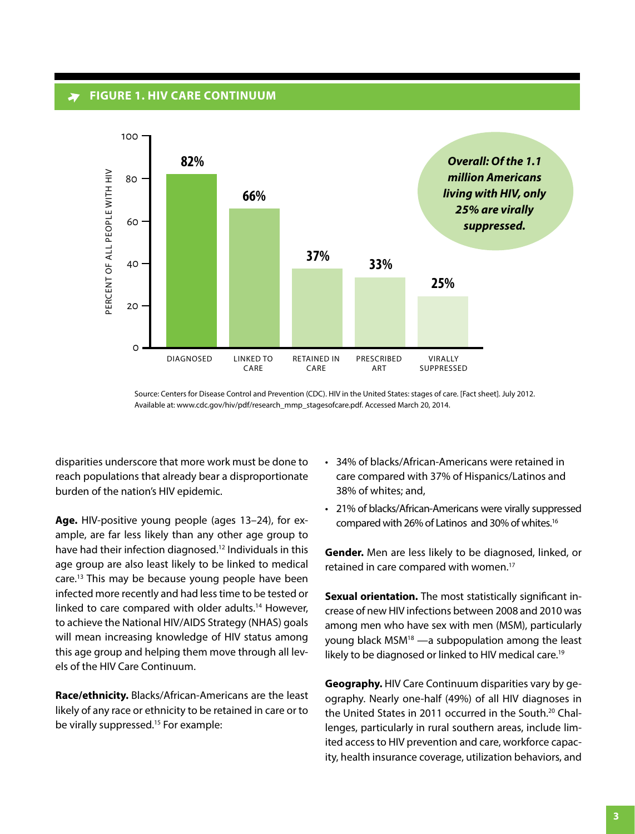#### **FIGURE 1. HIV CARE CONTINUUM**



Source: Centers for Disease Control and Prevention (CDC). HIV in the United States: stages of care. [Fact sheet]. July 2012. Available at: www.cdc.gov/hiv/pdf/research\_mmp\_stagesofcare.pdf. Accessed March 20, 2014.

disparities underscore that more work must be done to reach populations that already bear a disproportionate burden of the nation's HIV epidemic.

**Age.** HIV-positive young people (ages 13–24), for example, are far less likely than any other age group to have had their infection diagnosed.<sup>12</sup> Individuals in this age group are also least likely to be linked to medical care.13 This may be because young people have been infected more recently and had less time to be tested or linked to care compared with older adults.<sup>14</sup> However, to achieve the National HIV/AIDS Strategy (NHAS) goals will mean increasing knowledge of HIV status among this age group and helping them move through all levels of the HIV Care Continuum.

**race/ethnicity.** Blacks/African-Americans are the least likely of any race or ethnicity to be retained in care or to be virally suppressed.<sup>15</sup> For example:

- 34% of blacks/African-Americans were retained in care compared with 37% of Hispanics/Latinos and 38% of whites; and,
- • 21% of blacks/African-Americans were virally suppressed compared with 26% of Latinos and 30% of whites.16

**Gender.** Men are less likely to be diagnosed, linked, or retained in care compared with women.<sup>17</sup>

**Sexual orientation.** The most statistically significant increase of new HIV infections between 2008 and 2010 was among men who have sex with men (MSM), particularly young black  $MSM^{18}$  —a subpopulation among the least likely to be diagnosed or linked to HIV medical care.19

**geography.** HIV Care Continuum disparities vary by geography. Nearly one-half (49%) of all HIV diagnoses in the United States in 2011 occurred in the South.<sup>20</sup> Challenges, particularly in rural southern areas, include limited access to HIV prevention and care, workforce capacity, health insurance coverage, utilization behaviors, and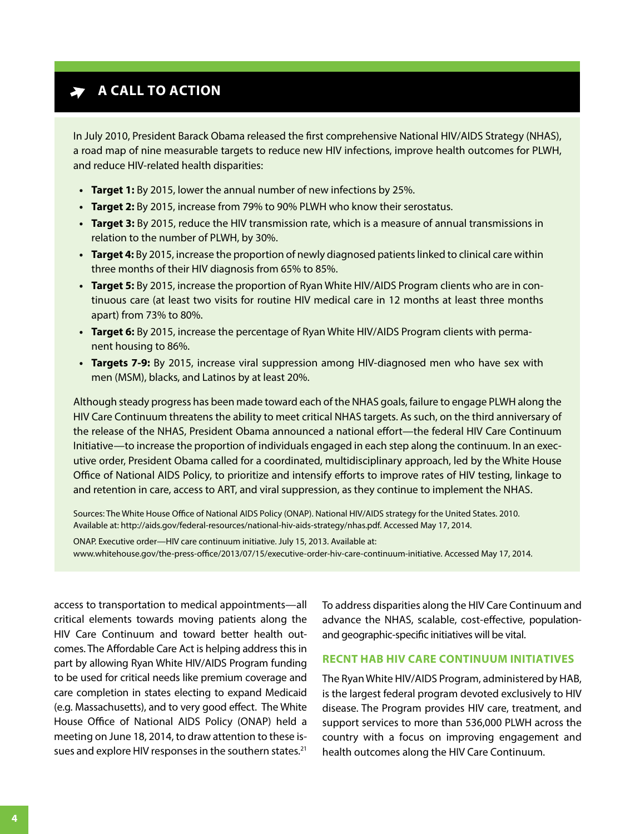# **A** A CALL TO ACTION

In July 2010, President Barack Obama released the first comprehensive National HIV/AIDS Strategy (NHAS), a road map of nine measurable targets to reduce new HIV infections, improve health outcomes for PLWH, and reduce HIV-related health disparities:

- **• target 1:** By 2015, lower the annual number of new infections by 25%.
- **• target 2:** By 2015, increase from 79% to 90% PLWH who know their serostatus.
- **Target 3:** By 2015, reduce the HIV transmission rate, which is a measure of annual transmissions in relation to the number of PLWH, by 30%.
- **• target 4:** By 2015, increase the proportion of newly diagnosed patients linked to clinical care within three months of their HIV diagnosis from 65% to 85%.
- **• target 5:** By 2015, increase the proportion of Ryan White HIV/AIDS Program clients who are in continuous care (at least two visits for routine HIV medical care in 12 months at least three months apart) from 73% to 80%.
- **• target 6:** By 2015, increase the percentage of Ryan White HIV/AIDS Program clients with permanent housing to 86%.
- **• targets 7-9:** By 2015, increase viral suppression among HIV-diagnosed men who have sex with men (MSM), blacks, and Latinos by at least 20%.

Although steady progress has been made toward each of the NHAS goals, failure to engage PLWH along the HIV Care Continuum threatens the ability to meet critical NHAS targets. As such, on the third anniversary of the release of the NHAS, President Obama announced a national effort—the federal HIV Care Continuum Initiative—to increase the proportion of individuals engaged in each step along the continuum. In an executive order, President Obama called for a coordinated, multidisciplinary approach, led by the White House Office of National AIDS Policy, to prioritize and intensify efforts to improve rates of HIV testing, linkage to and retention in care, access to ART, and viral suppression, as they continue to implement the NHAS.

Sources: The White House Office of National AIDS Policy (ONAP). National HIV/AIDS strategy for the United States. 2010. Available at: http://aids.gov/federal-resources/national-hiv-aids-strategy/nhas.pdf. Accessed May 17, 2014.

ONAP. Executive order—HIV care continuum initiative. July 15, 2013. Available at: [www.whitehouse.gov/the-press-office/2013/07/15/executive-order-hiv-care-continuum-initiative.](www.whitehouse.gov/the-press-office/2013/07/15/executive-order-hiv-care-continuum-initiative) Accessed May 17, 2014.

access to transportation to medical appointments—all critical elements towards moving patients along the HIV Care Continuum and toward better health outcomes. The Affordable Care Act is helping address this in part by allowing Ryan White HIV/AIDS Program funding to be used for critical needs like premium coverage and care completion in states electing to expand Medicaid (e.g. Massachusetts), and to very good effect. The White House Office of National AIDS Policy (ONAP) held a meeting on June 18, 2014, to draw attention to these issues and explore HIV responses in the southern states.<sup>21</sup>

To address disparities along the HIV Care Continuum and advance the NHAS, scalable, cost-effective, populationand geographic-specific initiatives will be vital.

#### **RECNT HAB HIV CARE CONTINUUM INITIATIVES**

The Ryan White HIV/AIDS Program, administered by HAB, is the largest federal program devoted exclusively to HIV disease. The Program provides HIV care, treatment, and support services to more than 536,000 PLWH across the country with a focus on improving engagement and health outcomes along the HIV Care Continuum.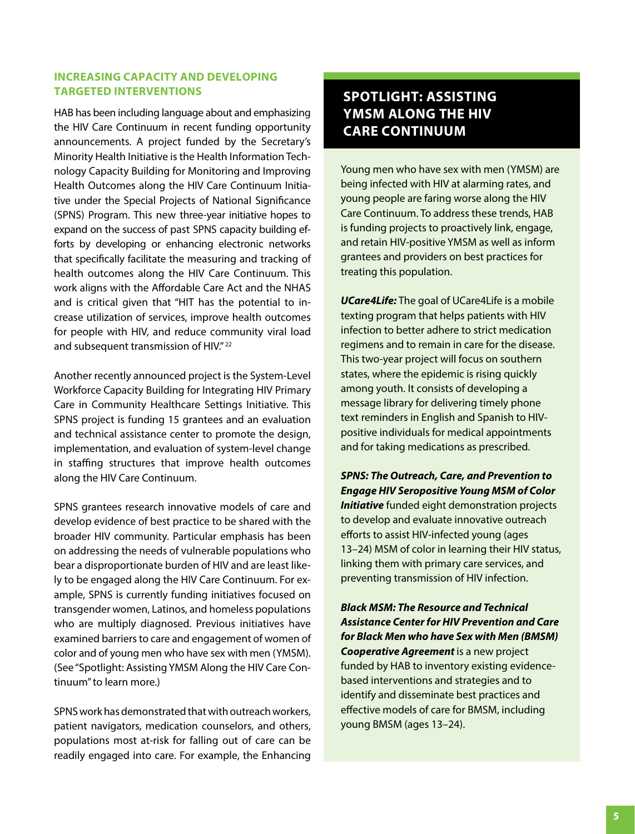## **INCREASING CAPACITY AND DEVELOPING TARGETED INTERVENTIONS**

HAB has been including language about and emphasizing the HIV Care Continuum in recent funding opportunity announcements. A project funded by the Secretary's Minority Health Initiative is the Health Information Technology Capacity Building for Monitoring and Improving Health Outcomes along the HIV Care Continuum Initiative under the Special Projects of National Significance (SPNS) Program. This new three-year initiative hopes to expand on the success of past SPNS capacity building efforts by developing or enhancing electronic networks that specifically facilitate the measuring and tracking of health outcomes along the HIV Care Continuum. This work aligns with the Affordable Care Act and the NHAS and is critical given that "HIT has the potential to increase utilization of services, improve health outcomes for people with HIV, and reduce community viral load and subsequent transmission of HIV."<sup>22</sup>

Another recently announced project is the System-Level Workforce Capacity Building for Integrating HIV Primary Care in Community Healthcare Settings Initiative. This SPNS project is funding 15 grantees and an evaluation and technical assistance center to promote the design, implementation, and evaluation of system-level change in staffing structures that improve health outcomes along the HIV Care Continuum.

SPNS grantees research innovative models of care and develop evidence of best practice to be shared with the broader HIV community. Particular emphasis has been on addressing the needs of vulnerable populations who bear a disproportionate burden of HIV and are least likely to be engaged along the HIV Care Continuum. For example, SPNS is currently funding initiatives focused on transgender women, Latinos, and homeless populations who are multiply diagnosed. Previous initiatives have examined barriers to care and engagement of women of color and of young men who have sex with men (YMSM). (See "Spotlight: Assisting YMSM Along the HIV Care Continuum" to learn more.)

SPNS work has demonstrated that with outreach workers, patient navigators, medication counselors, and others, populations most at-risk for falling out of care can be readily engaged into care. For example, the Enhancing

# **SPOTLIGHT: ASSISTING YMSM ALONG THE HIV CARE CONTINUUM**

Young men who have sex with men (YMSM) are being infected with HIV at alarming rates, and young people are faring worse along the HIV Care Continuum. To address these trends, HAB is funding projects to proactively link, engage, and retain HIV-positive YMSM as well as inform grantees and providers on best practices for treating this population.

*UCare4Life:* The goal of UCare4Life is a mobile texting program that helps patients with HIV infection to better adhere to strict medication regimens and to remain in care for the disease. This two-year project will focus on southern states, where the epidemic is rising quickly among youth. It consists of developing a message library for delivering timely phone text reminders in English and Spanish to HIVpositive individuals for medical appointments and for taking medications as prescribed.

*SPNS: The Outreach, Care, and Prevention to Engage HIV Seropositive Young MSM of Color Initiative* funded eight demonstration projects to develop and evaluate innovative outreach efforts to assist HIV-infected young (ages 13–24) MSM of color in learning their HIV status, linking them with primary care services, and preventing transmission of HIV infection.

*Black MSM: The Resource and Technical Assistance Center for HIV Prevention and Care for Black Men who have Sex with Men (BMSM)*  **Cooperative Agreement** is a new project funded by HAB to inventory existing evidencebased interventions and strategies and to identify and disseminate best practices and effective models of care for BMSM, including young BMSM (ages 13-24).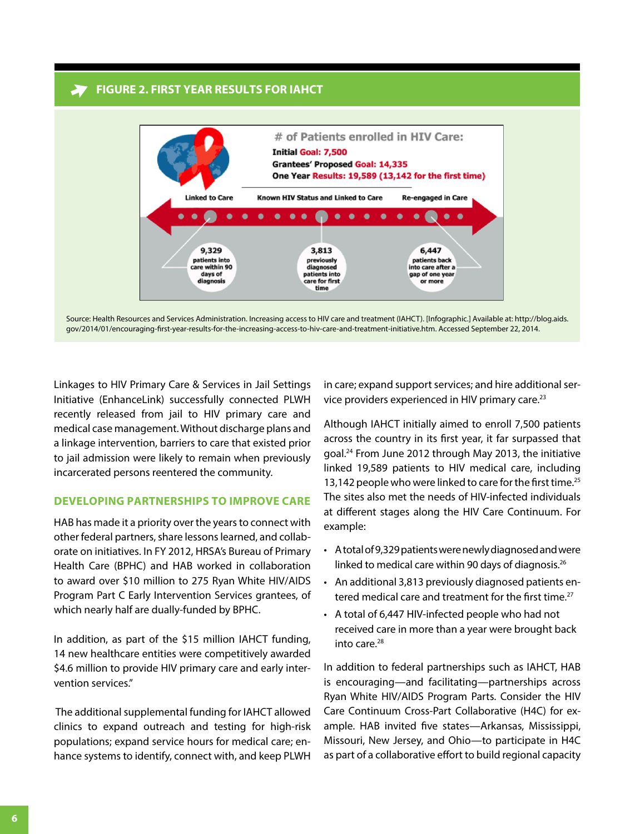#### **FIGURE 2. FIRST YEAR RESULTS FOR IAHCT**



[Source: Health Resources and Services Administration. Increasing access to HIV care and treatment \(IAHCT\). \[Infographic.\] Available at: http://blog.aids.](http://blog.aids.gov/2014/01/encouraging-first-year-results-for-the-increasing-access-to-hiv-care-and-treatment-initiative.html) gov/2014/01/encouraging-first-year-results-for-the-increasing-access-to-hiv-care-and-treatment-initiative.htm. Accessed September 22, 2014.

Linkages to HIV Primary Care & Services in Jail Settings Initiative (EnhanceLink) successfully connected PLWH recently released from jail to HIV primary care and medical case management. Without discharge plans and a linkage intervention, barriers to care that existed prior to jail admission were likely to remain when previously incarcerated persons reentered the community.

#### **DEVELOPING PARTNERSHIPS TO IMPROVE CARE**

HAB has made it a priority over the years to connect with other federal partners, share lessons learned, and collaborate on initiatives. In Fy 2012, HRSA's Bureau of Primary Health Care (BPHC) and HAB worked in collaboration to award over \$10 million to 275 Ryan White HIV/AIDS Program Part C Early Intervention Services grantees, of which nearly half are dually-funded by BPHC.

In addition, as part of the \$15 million IAHCT funding, 14 new healthcare entities were competitively awarded \$4.6 million to provide HIV primary care and early intervention services."

 The additional supplemental funding for IAHCT allowed clinics to expand outreach and testing for high-risk populations; expand service hours for medical care; enhance systems to identify, connect with, and keep PLWH

in care; expand support services; and hire additional service providers experienced in HIV primary care.23

Although IAHCT initially aimed to enroll 7,500 patients across the country in its first year, it far surpassed that goal.<sup>24</sup> From June 2012 through May 2013, the initiative linked 19,589 patients to HIV medical care, including 13,142 people who were linked to care for the first time.<sup>25</sup> The sites also met the needs of HIV-infected individuals at different stages along the HIV Care Continuum. For example:

- A total of 9,329 patients were newly diagnosed and were linked to medical care within 90 days of diagnosis.<sup>26</sup>
- An additional 3,813 previously diagnosed patients entered medical care and treatment for the first time.<sup>27</sup>
- A total of 6,447 HIV-infected people who had not received care in more than a year were brought back into care.<sup>28</sup>

In addition to federal partnerships such as IAHCT, HAB is encouraging—and facilitating—partnerships across Ryan White HIV/AIDS Program Parts. Consider the HIV Care Continuum Cross-Part Collaborative (H4C) for example. HAB invited five states—Arkansas, Mississippi, Missouri, New Jersey, and Ohio-to participate in H4C as part of a collaborative effort to build regional capacity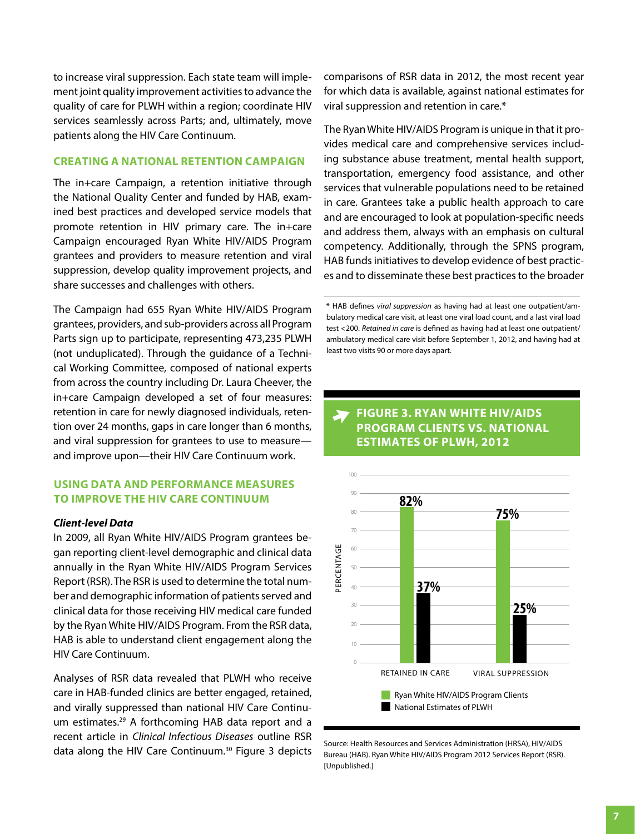to increase viral suppression. Each state team will implement joint quality improvement activities to advance the quality of care for PLWH within a region; coordinate HIV services seamlessly across Parts; and, ultimately, move patients along the HIV Care Continuum.

#### **CREATING A NATIONAL RETENTION CAMPAIGN**

The in+care Campaign, a retention initiative through the National Quality Center and funded by HAB, examined best practices and developed service models that promote retention in HIV primary care. The in+care Campaign encouraged Ryan White HIV/AIDS Program grantees and providers to measure retention and viral suppression, develop quality improvement projects, and share successes and challenges with others.

The Campaign had 655 Ryan White HIV/AIDS Program grantees, providers, and sub-providers across all Program Parts sign up to participate, representing 473,235 PLWH (not unduplicated). Through the guidance of a Technical Working Committee, composed of national experts from across the country including Dr. Laura Cheever, the in+care Campaign developed a set of four measures: retention in care for newly diagnosed individuals, retention over 24 months, gaps in care longer than 6 months, and viral suppression for grantees to use to measure and improve upon—their HIV Care Continuum work.

#### **USING DATA AND PERFORMANCE MEASURES TO IMPROVE THE HIV CARE CONTINUUM**

#### *Client-level Data*

In 2009, all Ryan White HIV/AIDS Program grantees began reporting client-level demographic and clinical data annually in the Ryan White HIV/AIDS Program Services Report (RSR). The RSR is used to determine the total number and demographic information of patients served and clinical data for those receiving HIV medical care funded by the Ryan White HIV/AIDS Program. From the RSR data, HAB is able to understand client engagement along the HIV Care Continuum.

Analyses of RSR data revealed that PLWH who receive care in HAB-funded clinics are better engaged, retained, and virally suppressed than national HIV Care Continuum estimates.29 A forthcoming HAB data report and a recent article in *Clinical Infectious Diseases* outline RSR data along the HIV Care Continuum.<sup>30</sup> Figure 3 depicts Burge: Health Resources and Services Administration (HRSA), HIV/AIDS data along the HIV Care Continuum.<sup>30</sup> Figure 3 depicts Burgeau (HAB), Ryan White HIV/AIDS Progra

comparisons of RSR data in 2012, the most recent year for which data is available, against national estimates for viral suppression and retention in care.\*

The Ryan White HIV/AIDS Program is unique in that it provides medical care and comprehensive services including substance abuse treatment, mental health support, transportation, emergency food assistance, and other services that vulnerable populations need to be retained in care. Grantees take a public health approach to care and are encouraged to look at population-specific needs and address them, always with an emphasis on cultural competency. Additionally, through the SPNS program, HAB funds initiatives to develop evidence of best practices and to disseminate these best practices to the broader

## **FIGURE 3. RYAN WHITE HIV/AIDS PROGRAM CLIENTS VS. NATIONAL ESTIMATES OF PLWH, 2012**



Bureau (HAB). Ryan White HIV/AIDS Program 2012 Services Report (RSR). [Unpublished.]

<sup>\*</sup> HAB defines *viral suppression* as having had at least one outpatient/ambulatory medical care visit, at least one viral load count, and a last viral load test <200. *Retained in care* is defined as having had at least one outpatient/ ambulatory medical care visit before September 1, 2012, and having had at least two visits 90 or more days apart.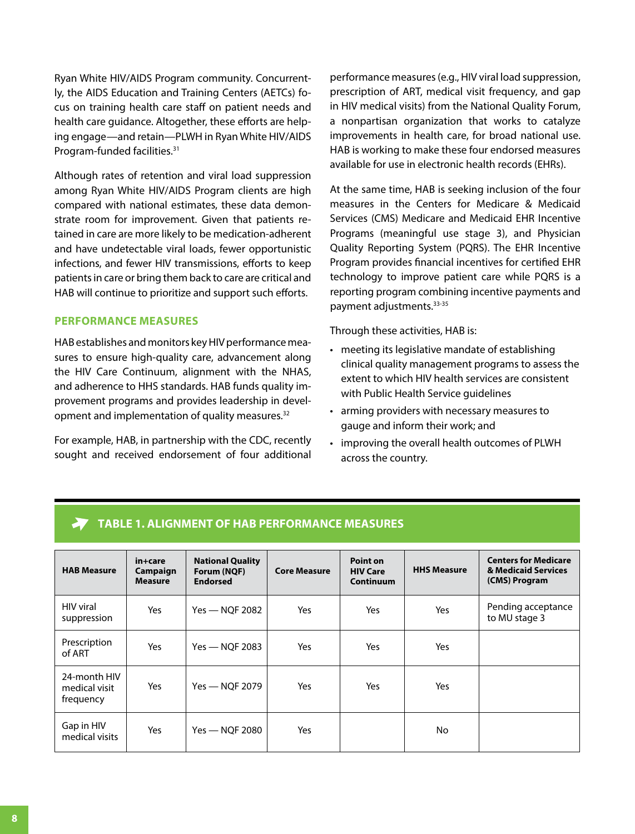Ryan White HIV/AIDS Program community. Concurrently, the AIDS Education and Training Centers (AETCs) focus on training health care staff on patient needs and health care guidance. Altogether, these efforts are helping engage—and retain—PLWH in Ryan White HIV/AIDS Program-funded facilities.31

Although rates of retention and viral load suppression among Ryan White HIV/AIDS Program clients are high compared with national estimates, these data demonstrate room for improvement. Given that patients retained in care are more likely to be medication-adherent and have undetectable viral loads, fewer opportunistic infections, and fewer HIV transmissions, efforts to keep patients in care or bring them back to care are critical and HAB will continue to prioritize and support such efforts.

#### **PERFORMANCE MEASURES**

HAB establishes and monitors key HIV performance measures to ensure high-quality care, advancement along the HIV Care Continuum, alignment with the NHAS, and adherence to HHS standards. HAB funds quality improvement programs and provides leadership in development and implementation of quality measures.<sup>32</sup>

For example, HAB, in partnership with the CDC, recently sought and received endorsement of four additional performance measures (e.g., HIV viral load suppression, prescription of ART, medical visit frequency, and gap in HIV medical visits) from the National Quality Forum, a nonpartisan organization that works to catalyze improvements in health care, for broad national use. HAB is working to make these four endorsed measures available for use in electronic health records (EHRs).

At the same time, HAB is seeking inclusion of the four measures in the Centers for Medicare & Medicaid Services (CMS) Medicare and Medicaid EHR Incentive Programs (meaningful use stage 3), and Physician Quality Reporting System (PQRS). The EHR Incentive Program provides financial incentives for certified EHR technology to improve patient care while PQRS is a reporting program combining incentive payments and payment adjustments.<sup>33-35</sup>

Through these activities, HAB is:

- meeting its legislative mandate of establishing clinical quality management programs to assess the extent to which HIV health services are consistent with Public Health Service guidelines
- arming providers with necessary measures to gauge and inform their work; and
- improving the overall health outcomes of PLWH across the country.

| <b>HAB Measure</b>                         | in+care<br>Campaign<br><b>Measure</b> | <b>National Quality</b><br>Forum (NQF)<br><b>Endorsed</b> | <b>Core Measure</b> | Point on<br><b>HIV Care</b><br>Continuum | <b>HHS Measure</b> | <b>Centers for Medicare</b><br>& Medicaid Services<br>(CMS) Program |
|--------------------------------------------|---------------------------------------|-----------------------------------------------------------|---------------------|------------------------------------------|--------------------|---------------------------------------------------------------------|
| <b>HIV</b> viral<br>suppression            | Yes                                   | $Yes - NOF 2082$                                          | Yes                 | Yes                                      | Yes                | Pending acceptance<br>to MU stage 3                                 |
| Prescription<br>of ART                     | Yes                                   | Yes - NQF 2083                                            | Yes                 | Yes                                      | Yes                |                                                                     |
| 24-month HIV<br>medical visit<br>frequency | Yes                                   | Yes - NQF 2079                                            | Yes                 | Yes                                      | Yes                |                                                                     |
| Gap in HIV<br>medical visits               | <b>Yes</b>                            | $Yes - NOF 2080$                                          | Yes                 |                                          | No.                |                                                                     |

#### **TABLE 1. ALIGNMENT OF HAB PERFORMANCE MEASURES**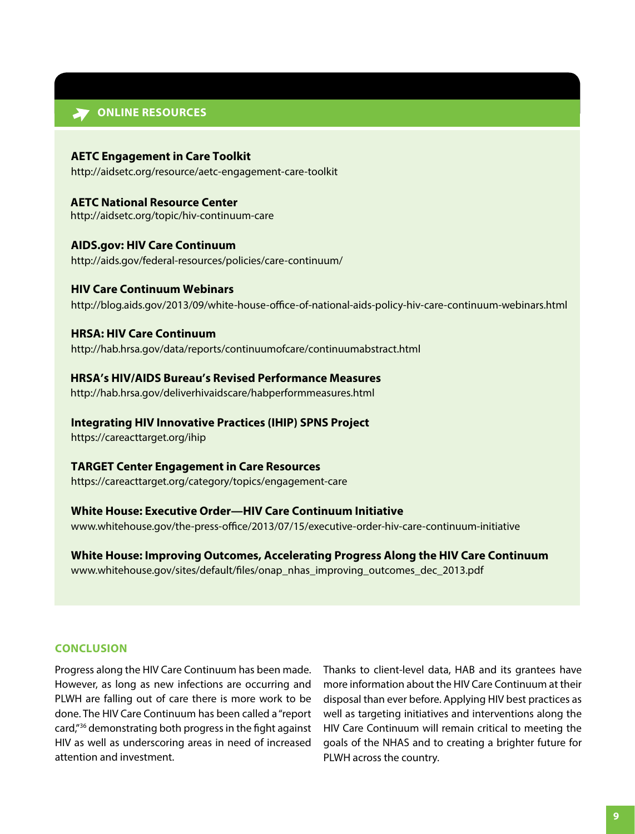#### **ONLINE RESOURCES**

**AETC Engagement in Care Toolkit** <http://aidsetc.org/resource/aetc-engagement-care-toolkit>

**AETC National Resource Center**  <http://aidsetc.org/topic/hiv-continuum-care>

**AIDS.gov: HIV Care Continuum** <http://aids.gov/federal-resources/policies/care-continuum/>

#### **HIV Care Continuum Webinars**

<http://blog.aids.gov/2013/09/white-house-office-of-national-aids-policy-hiv-care-continuum-webinars.html>

**HRSA: HIV Care Continuum**

<http://hab.hrsa.gov/data/reports/continuumofcare/continuumabstract.html>

**HRSA's HIV/AIDS Bureau's Revised Performance Measures**

<http://hab.hrsa.gov/deliverhivaidscare/habperformmeasures.html>

**Integrating HIV Innovative Practices (IHIP) SPNS Project**

<https://careacttarget.org/ihip>

#### **TARGET Center Engagement in Care Resources**

<https://careacttarget.org/category/topics/engagement-care>

### **White House: Executive Order—HIV Care Continuum Initiative**

<www.whitehouse.gov/the-press-office/2013/07/15/executive-order-hiv-care-continuum-initiative>

**White House: Improving Outcomes, Accelerating Progress Along the HIV Care Continuum** [www.whitehouse.gov/sites/default/files/onap\\_nhas\\_improving\\_outcomes\\_dec\\_2013.pdf](www.whitehouse.gov/sites/default/files/onap_nhas_improving_outcomes_dec_2013.pdf) 

#### **CONCLUSION**

Progress along the HIV Care Continuum has been made. However, as long as new infections are occurring and PLWH are falling out of care there is more work to be done. The HIV Care Continuum has been called a "report card,"<sup>36</sup> demonstrating both progress in the fight against HIV as well as underscoring areas in need of increased attention and investment.

Thanks to client-level data, HAB and its grantees have more information about the HIV Care Continuum at their disposal than ever before. Applying HIV best practices as well as targeting initiatives and interventions along the HIV Care Continuum will remain critical to meeting the goals of the NHAS and to creating a brighter future for PLWH across the country.